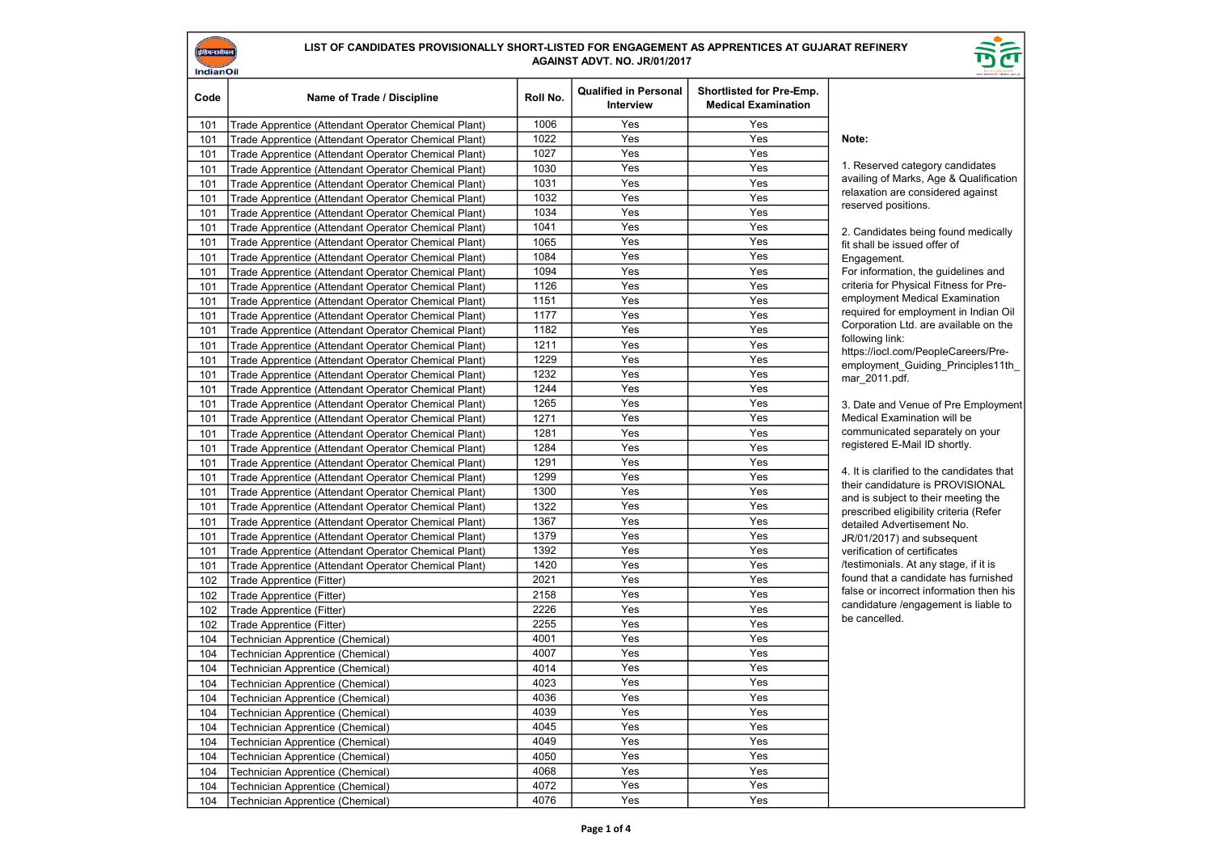# इंडियनऑयल IndianOil

## LIST OF CANDIDATES PROVISIONALLY SHORT-LISTED FOR ENGAGEMENT AS APPRENTICES AT GUJARAT REFINERY AGAINST ADVT. NO. JR/01/2017



| Code       | Name of Trade / Discipline                           | Roll No. | <b>Qualified in Personal</b><br>Interview | Shortlisted for Pre-Emp.<br><b>Medical Examination</b> |                                                                       |
|------------|------------------------------------------------------|----------|-------------------------------------------|--------------------------------------------------------|-----------------------------------------------------------------------|
| 101        | Trade Apprentice (Attendant Operator Chemical Plant) | 1006     | Yes                                       | Yes                                                    |                                                                       |
| 101        | Trade Apprentice (Attendant Operator Chemical Plant) | 1022     | Yes                                       | Yes                                                    | Note:                                                                 |
| 101        | Trade Apprentice (Attendant Operator Chemical Plant) | 1027     | Yes                                       | Yes                                                    |                                                                       |
| 101        | Trade Apprentice (Attendant Operator Chemical Plant) | 1030     | Yes                                       | Yes                                                    | 1. Reserved category candidates                                       |
| 101        | Trade Apprentice (Attendant Operator Chemical Plant) | 1031     | Yes                                       | Yes                                                    | availing of Marks, Age & Qualification                                |
| 101        | Trade Apprentice (Attendant Operator Chemical Plant) | 1032     | Yes                                       | Yes                                                    | relaxation are considered against                                     |
| 101        | Trade Apprentice (Attendant Operator Chemical Plant) | 1034     | Yes                                       | Yes                                                    | reserved positions.                                                   |
| 101        | Trade Apprentice (Attendant Operator Chemical Plant) | 1041     | Yes                                       | Yes                                                    |                                                                       |
| 101        | Trade Apprentice (Attendant Operator Chemical Plant) | 1065     | Yes                                       | Yes                                                    | 2. Candidates being found medically<br>fit shall be issued offer of   |
| 101        | Trade Apprentice (Attendant Operator Chemical Plant) | 1084     | Yes                                       | Yes                                                    | Engagement.                                                           |
| 101        | Trade Apprentice (Attendant Operator Chemical Plant) | 1094     | Yes                                       | Yes                                                    | For information, the guidelines and                                   |
| 101        | Trade Apprentice (Attendant Operator Chemical Plant) | 1126     | Yes                                       | Yes                                                    | criteria for Physical Fitness for Pre-                                |
| 101        | Trade Apprentice (Attendant Operator Chemical Plant) | 1151     | Yes                                       | Yes                                                    | employment Medical Examination                                        |
| 101        | Trade Apprentice (Attendant Operator Chemical Plant) | 1177     | Yes                                       | Yes                                                    | required for employment in Indian Oil                                 |
| 101        | Trade Apprentice (Attendant Operator Chemical Plant) | 1182     | Yes                                       | Yes                                                    | Corporation Ltd. are available on the                                 |
| 101        | Trade Apprentice (Attendant Operator Chemical Plant) | 1211     | Yes                                       | Yes                                                    | following link:                                                       |
| 101        | Trade Apprentice (Attendant Operator Chemical Plant) | 1229     | Yes                                       | Yes                                                    | https://iocl.com/PeopleCareers/Pre-                                   |
| 101        | Trade Apprentice (Attendant Operator Chemical Plant) | 1232     | Yes                                       | Yes                                                    | employment_Guiding_Principles11th_                                    |
| 101        | Trade Apprentice (Attendant Operator Chemical Plant) | 1244     | Yes                                       | Yes                                                    | mar 2011.pdf.                                                         |
| 101        | Trade Apprentice (Attendant Operator Chemical Plant) | 1265     | Yes                                       | Yes                                                    | 3. Date and Venue of Pre Employment                                   |
| 101        | Trade Apprentice (Attendant Operator Chemical Plant) | 1271     | Yes                                       | Yes                                                    | Medical Examination will be                                           |
| 101        | Trade Apprentice (Attendant Operator Chemical Plant) | 1281     | Yes                                       | Yes                                                    | communicated separately on your                                       |
| 101        | Trade Apprentice (Attendant Operator Chemical Plant) | 1284     | Yes                                       | Yes                                                    | registered E-Mail ID shortly.                                         |
| 101        | Trade Apprentice (Attendant Operator Chemical Plant) | 1291     | Yes                                       | Yes                                                    |                                                                       |
| 101        | Trade Apprentice (Attendant Operator Chemical Plant) | 1299     | Yes                                       | Yes                                                    | 4. It is clarified to the candidates that                             |
| 101        | Trade Apprentice (Attendant Operator Chemical Plant) | 1300     | Yes                                       | Yes                                                    | their candidature is PROVISIONAL                                      |
| 101        | Trade Apprentice (Attendant Operator Chemical Plant) | 1322     | Yes                                       | Yes                                                    | and is subject to their meeting the                                   |
| 101        | Trade Apprentice (Attendant Operator Chemical Plant) | 1367     | Yes                                       | Yes                                                    | prescribed eligibility criteria (Refer                                |
| 101        | Trade Apprentice (Attendant Operator Chemical Plant) | 1379     | Yes                                       | Yes                                                    | detailed Advertisement No.                                            |
| 101        |                                                      | 1392     | Yes                                       | Yes                                                    | JR/01/2017) and subsequent                                            |
| 101        | Trade Apprentice (Attendant Operator Chemical Plant) | 1420     | Yes                                       | Yes                                                    | verification of certificates<br>/testimonials. At any stage, if it is |
|            | Trade Apprentice (Attendant Operator Chemical Plant) | 2021     | Yes                                       | Yes                                                    | found that a candidate has furnished                                  |
| 102<br>102 | Trade Apprentice (Fitter)                            | 2158     | Yes                                       | Yes                                                    | false or incorrect information then his                               |
|            | Trade Apprentice (Fitter)                            | 2226     | Yes                                       | Yes                                                    | candidature /engagement is liable to                                  |
| 102        | Trade Apprentice (Fitter)                            | 2255     | Yes                                       | Yes                                                    | be cancelled.                                                         |
| 102        | Trade Apprentice (Fitter)                            | 4001     | Yes                                       | Yes                                                    |                                                                       |
| 104        | Technician Apprentice (Chemical)                     | 4007     | Yes                                       | Yes                                                    |                                                                       |
| 104<br>104 | Technician Apprentice (Chemical)                     | 4014     | Yes                                       | Yes                                                    |                                                                       |
|            | Technician Apprentice (Chemical)                     | 4023     |                                           | Yes                                                    |                                                                       |
| 104        | Technician Apprentice (Chemical)                     |          | Yes<br>Yes                                | Yes                                                    |                                                                       |
| 104        | Technician Apprentice (Chemical)                     | 4036     |                                           |                                                        |                                                                       |
| 104        | Technician Apprentice (Chemical)                     | 4039     | Yes                                       | Yes                                                    |                                                                       |
| 104        | Technician Apprentice (Chemical)                     | 4045     | Yes                                       | Yes                                                    |                                                                       |
| 104        | Technician Apprentice (Chemical)                     | 4049     | Yes                                       | Yes                                                    |                                                                       |
| 104        | Technician Apprentice (Chemical)                     | 4050     | Yes                                       | Yes                                                    |                                                                       |
| 104        | Technician Apprentice (Chemical)                     | 4068     | Yes                                       | Yes                                                    |                                                                       |
| 104        | Technician Apprentice (Chemical)                     | 4072     | Yes                                       | Yes                                                    |                                                                       |
| 104        | Technician Apprentice (Chemical)                     | 4076     | Yes                                       | Yes                                                    |                                                                       |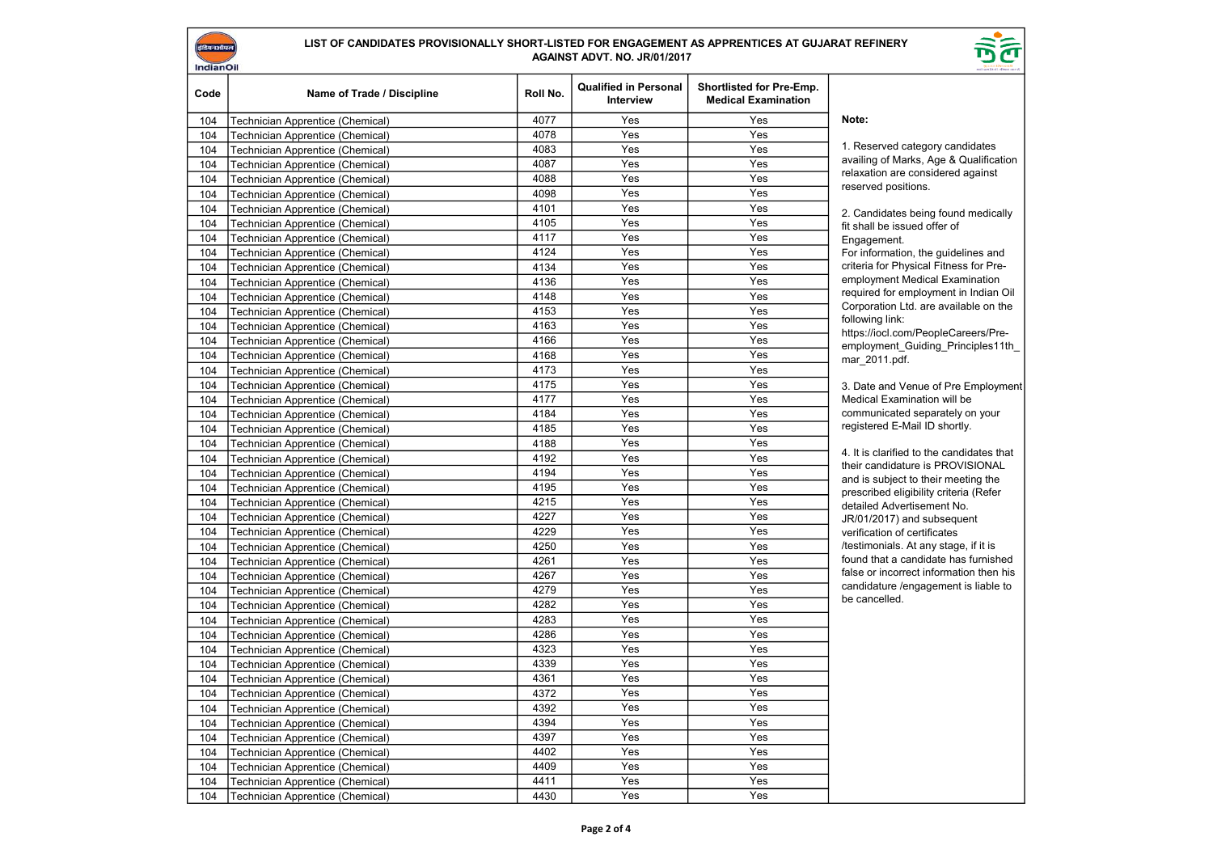### LIST OF CANDIDATES PROVISIONALLY SHORT-LISTED FOR ENGAGEMENT AS APPRENTICES AT GUJARAT REFINERY AGAINST ADVT. NO. JR/01/2017

(इंडियन3ॉर IndianOil



| Code | Name of Trade / Discipline       | Roll No. | <b>Qualified in Personal</b><br>Interview | Shortlisted for Pre-Emp.<br><b>Medical Examination</b> |                                                                      |
|------|----------------------------------|----------|-------------------------------------------|--------------------------------------------------------|----------------------------------------------------------------------|
| 104  | Technician Apprentice (Chemical) | 4077     | Yes                                       | Yes                                                    | Note:                                                                |
| 104  | Technician Apprentice (Chemical) | 4078     | Yes                                       | Yes                                                    |                                                                      |
| 104  | Technician Apprentice (Chemical) | 4083     | Yes                                       | Yes                                                    | 1. Reserved category candidates                                      |
| 104  | Technician Apprentice (Chemical) | 4087     | Yes                                       | Yes                                                    | availing of Marks, Age & Qualification                               |
| 104  | Technician Apprentice (Chemical) | 4088     | Yes                                       | Yes                                                    | relaxation are considered against                                    |
| 104  | Technician Apprentice (Chemical) | 4098     | Yes                                       | Yes                                                    | reserved positions.                                                  |
| 104  | Technician Apprentice (Chemical) | 4101     | Yes                                       | Yes                                                    | 2. Candidates being found medically                                  |
| 104  | Technician Apprentice (Chemical) | 4105     | Yes                                       | Yes                                                    | fit shall be issued offer of                                         |
| 104  | Technician Apprentice (Chemical) | 4117     | Yes                                       | Yes                                                    | Engagement.                                                          |
| 104  | Technician Apprentice (Chemical) | 4124     | Yes                                       | Yes                                                    | For information, the guidelines and                                  |
| 104  | Technician Apprentice (Chemical) | 4134     | Yes                                       | Yes                                                    | criteria for Physical Fitness for Pre-                               |
| 104  | Technician Apprentice (Chemical) | 4136     | Yes                                       | Yes                                                    | employment Medical Examination                                       |
| 104  | Technician Apprentice (Chemical) | 4148     | Yes                                       | Yes                                                    | required for employment in Indian Oil                                |
| 104  | Technician Apprentice (Chemical) | 4153     | Yes                                       | Yes                                                    | Corporation Ltd. are available on the                                |
| 104  | Technician Apprentice (Chemical) | 4163     | Yes                                       | Yes                                                    | following link:                                                      |
| 104  | Technician Apprentice (Chemical) | 4166     | Yes                                       | Yes                                                    | https://iocl.com/PeopleCareers/Pre-                                  |
| 104  | Technician Apprentice (Chemical) | 4168     | Yes                                       | Yes                                                    | employment_Guiding_Principles11th_<br>mar 2011.pdf.                  |
| 104  | Technician Apprentice (Chemical) | 4173     | Yes                                       | Yes                                                    |                                                                      |
| 104  | Technician Apprentice (Chemical) | 4175     | Yes                                       | Yes                                                    | 3. Date and Venue of Pre Employment                                  |
| 104  | Technician Apprentice (Chemical) | 4177     | Yes                                       | Yes                                                    | Medical Examination will be                                          |
| 104  | Technician Apprentice (Chemical) | 4184     | Yes                                       | Yes                                                    | communicated separately on your                                      |
| 104  | Technician Apprentice (Chemical) | 4185     | Yes                                       | Yes                                                    | registered E-Mail ID shortly.                                        |
| 104  | Technician Apprentice (Chemical) | 4188     | Yes                                       | Yes                                                    |                                                                      |
| 104  | Technician Apprentice (Chemical) | 4192     | Yes                                       | Yes                                                    | 4. It is clarified to the candidates that                            |
| 104  | Technician Apprentice (Chemical) | 4194     | Yes                                       | Yes                                                    | their candidature is PROVISIONAL                                     |
| 104  | Technician Apprentice (Chemical) | 4195     | Yes                                       | Yes                                                    | and is subject to their meeting the                                  |
| 104  | Technician Apprentice (Chemical) | 4215     | Yes                                       | Yes                                                    | prescribed eligibility criteria (Refer<br>detailed Advertisement No. |
| 104  | Technician Apprentice (Chemical) | 4227     | Yes                                       | Yes                                                    | JR/01/2017) and subsequent                                           |
| 104  | Technician Apprentice (Chemical) | 4229     | Yes                                       | Yes                                                    | verification of certificates                                         |
| 104  | Technician Apprentice (Chemical) | 4250     | Yes                                       | Yes                                                    | /testimonials. At any stage, if it is                                |
| 104  | Technician Apprentice (Chemical) | 4261     | Yes                                       | Yes                                                    | found that a candidate has furnished                                 |
| 104  | Technician Apprentice (Chemical) | 4267     | Yes                                       | Yes                                                    | false or incorrect information then his                              |
| 104  | Technician Apprentice (Chemical) | 4279     | Yes                                       | Yes                                                    | candidature /engagement is liable to                                 |
| 104  | Technician Apprentice (Chemical) | 4282     | Yes                                       | Yes                                                    | be cancelled.                                                        |
| 104  | Technician Apprentice (Chemical) | 4283     | Yes                                       | Yes                                                    |                                                                      |
| 104  | Technician Apprentice (Chemical) | 4286     | Yes                                       | Yes                                                    |                                                                      |
| 104  | Technician Apprentice (Chemical) | 4323     | Yes                                       | Yes                                                    |                                                                      |
| 104  | Technician Apprentice (Chemical) | 4339     | Yes                                       | Yes                                                    |                                                                      |
| 104  | Technician Apprentice (Chemical) | 4361     | Yes                                       | Yes                                                    |                                                                      |
| 104  | Technician Apprentice (Chemical) | 4372     | Yes                                       | Yes                                                    |                                                                      |
| 104  | Technician Apprentice (Chemical) | 4392     | Yes                                       | Yes                                                    |                                                                      |
| 104  | Technician Apprentice (Chemical) | 4394     | Yes                                       | Yes                                                    |                                                                      |
| 104  | Technician Apprentice (Chemical) | 4397     | Yes                                       | Yes                                                    |                                                                      |
| 104  | Technician Apprentice (Chemical) | 4402     | Yes                                       | Yes                                                    |                                                                      |
| 104  | Technician Apprentice (Chemical) | 4409     | Yes                                       | Yes                                                    |                                                                      |
| 104  | Technician Apprentice (Chemical) | 4411     | Yes                                       | Yes                                                    |                                                                      |
| 104  | Technician Apprentice (Chemical) | 4430     | Yes                                       | Yes                                                    |                                                                      |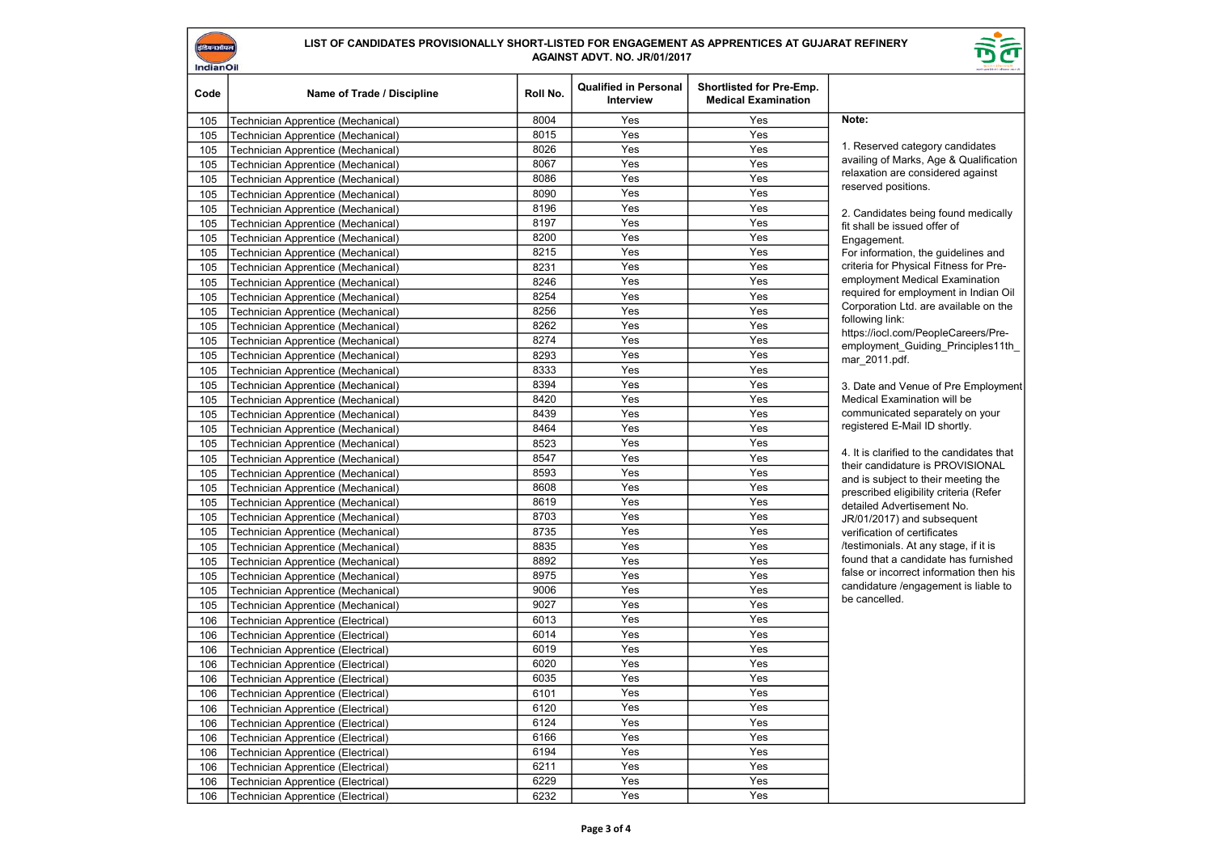### LIST OF CANDIDATES PROVISIONALLY SHORT-LISTED FOR ENGAGEMENT AS APPRENTICES AT GUJARAT REFINERY AGAINST ADVT. NO. JR/01/2017

(इंडियन3ॉर IndianOil



| Code | Name of Trade / Discipline         | Roll No. | <b>Qualified in Personal</b><br>Interview | <b>Shortlisted for Pre-Emp.</b><br><b>Medical Examination</b> |                                                                               |
|------|------------------------------------|----------|-------------------------------------------|---------------------------------------------------------------|-------------------------------------------------------------------------------|
| 105  | Technician Apprentice (Mechanical) | 8004     | Yes                                       | Yes                                                           | Note:                                                                         |
| 105  | Technician Apprentice (Mechanical) | 8015     | Yes                                       | Yes                                                           |                                                                               |
| 105  | Technician Apprentice (Mechanical) | 8026     | Yes                                       | Yes                                                           | 1. Reserved category candidates                                               |
| 105  | Technician Apprentice (Mechanical) | 8067     | Yes                                       | Yes                                                           | availing of Marks, Age & Qualification                                        |
| 105  | Technician Apprentice (Mechanical) | 8086     | Yes                                       | Yes                                                           | relaxation are considered against<br>reserved positions.                      |
| 105  | Technician Apprentice (Mechanical) | 8090     | Yes                                       | Yes                                                           |                                                                               |
| 105  | Technician Apprentice (Mechanical) | 8196     | Yes                                       | Yes                                                           | 2. Candidates being found medically                                           |
| 105  | Technician Apprentice (Mechanical) | 8197     | Yes                                       | Yes                                                           | fit shall be issued offer of                                                  |
| 105  | Technician Apprentice (Mechanical) | 8200     | Yes                                       | Yes                                                           | Engagement.                                                                   |
| 105  | Technician Apprentice (Mechanical) | 8215     | Yes                                       | Yes                                                           | For information, the guidelines and                                           |
| 105  | Technician Apprentice (Mechanical) | 8231     | Yes                                       | Yes                                                           | criteria for Physical Fitness for Pre-                                        |
| 105  | Technician Apprentice (Mechanical) | 8246     | Yes                                       | Yes                                                           | employment Medical Examination                                                |
| 105  | Technician Apprentice (Mechanical) | 8254     | Yes                                       | Yes                                                           | required for employment in Indian Oil                                         |
| 105  | Technician Apprentice (Mechanical) | 8256     | Yes                                       | Yes                                                           | Corporation Ltd. are available on the                                         |
| 105  | Technician Apprentice (Mechanical) | 8262     | Yes                                       | Yes                                                           | following link:                                                               |
| 105  | Technician Apprentice (Mechanical) | 8274     | Yes                                       | Yes                                                           | https://iocl.com/PeopleCareers/Pre-<br>employment Guiding Principles11th      |
| 105  | Technician Apprentice (Mechanical) | 8293     | Yes                                       | Yes                                                           | mar_2011.pdf.                                                                 |
| 105  | Technician Apprentice (Mechanical) | 8333     | Yes                                       | Yes                                                           |                                                                               |
| 105  | Technician Apprentice (Mechanical) | 8394     | Yes                                       | Yes                                                           | 3. Date and Venue of Pre Employment                                           |
| 105  | Technician Apprentice (Mechanical) | 8420     | Yes                                       | Yes                                                           | Medical Examination will be                                                   |
| 105  | Technician Apprentice (Mechanical) | 8439     | $\overline{Y}$ es                         | Yes                                                           | communicated separately on your                                               |
| 105  | Technician Apprentice (Mechanical) | 8464     | Yes                                       | Yes                                                           | registered E-Mail ID shortly.                                                 |
| 105  | Technician Apprentice (Mechanical) | 8523     | Yes                                       | Yes                                                           |                                                                               |
| 105  | Technician Apprentice (Mechanical) | 8547     | $\overline{Y}$ es                         | Yes                                                           | 4. It is clarified to the candidates that                                     |
| 105  | Technician Apprentice (Mechanical) | 8593     | Yes                                       | Yes                                                           | their candidature is PROVISIONAL                                              |
| 105  | Technician Apprentice (Mechanical) | 8608     | Yes                                       | Yes                                                           | and is subject to their meeting the<br>prescribed eligibility criteria (Refer |
| 105  | Technician Apprentice (Mechanical) | 8619     | Yes                                       | Yes                                                           | detailed Advertisement No.                                                    |
| 105  | Technician Apprentice (Mechanical) | 8703     | Yes                                       | Yes                                                           | JR/01/2017) and subsequent                                                    |
| 105  | Technician Apprentice (Mechanical) | 8735     | Yes                                       | Yes                                                           | verification of certificates                                                  |
| 105  | Technician Apprentice (Mechanical) | 8835     | Yes                                       | Yes                                                           | /testimonials. At any stage, if it is                                         |
| 105  | Technician Apprentice (Mechanical) | 8892     | Yes                                       | Yes                                                           | found that a candidate has furnished                                          |
| 105  | Technician Apprentice (Mechanical) | 8975     | Yes                                       | Yes                                                           | false or incorrect information then his                                       |
| 105  | Technician Apprentice (Mechanical) | 9006     | Yes                                       | Yes                                                           | candidature /engagement is liable to                                          |
| 105  | Technician Apprentice (Mechanical) | 9027     | Yes                                       | Yes                                                           | be cancelled.                                                                 |
| 106  | Technician Apprentice (Electrical) | 6013     | Yes                                       | Yes                                                           |                                                                               |
| 106  | Technician Apprentice (Electrical) | 6014     | Yes                                       | Yes                                                           |                                                                               |
| 106  | Technician Apprentice (Electrical) | 6019     | Yes                                       | Yes                                                           |                                                                               |
| 106  | Technician Apprentice (Electrical) | 6020     | Yes                                       | Yes                                                           |                                                                               |
| 106  | Technician Apprentice (Electrical) | 6035     | Yes                                       | Yes                                                           |                                                                               |
| 106  | Technician Apprentice (Electrical) | 6101     | Yes                                       | Yes                                                           |                                                                               |
| 106  | Technician Apprentice (Electrical) | 6120     | Yes                                       | Yes                                                           |                                                                               |
| 106  | Technician Apprentice (Electrical) | 6124     | Yes                                       | Yes                                                           |                                                                               |
| 106  | Technician Apprentice (Electrical) | 6166     | Yes                                       | Yes                                                           |                                                                               |
| 106  | Technician Apprentice (Electrical) | 6194     | Yes                                       | Yes                                                           |                                                                               |
| 106  | Technician Apprentice (Electrical) | 6211     | Yes                                       | Yes                                                           |                                                                               |
| 106  | Technician Apprentice (Electrical) | 6229     | Yes                                       | Yes                                                           |                                                                               |
| 106  | Technician Apprentice (Electrical) | 6232     | Yes                                       | Yes                                                           |                                                                               |